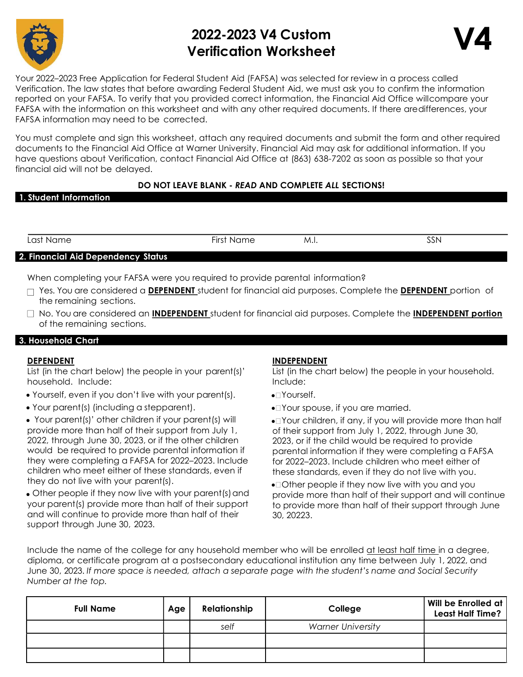

# 2022-2023 V4 Custom Verification Worksheet



Your 2022–2023 Free Application for Federal Student Aid (FAFSA) was selected for review in a process called Verification. The law states that before awarding Federal Student Aid, we must ask you to confirm the information reported on your FAFSA. To verify that you provided correct information, the Financial Aid Office will compare your FAFSA with the information on this worksheet and with any other required documents. If there are differences, your FAFSA information may need to be corrected.

You must complete and sign this worksheet, attach any required documents and submit the form and other required documents to the Financial Aid Office at Warner University. Financial Aid may ask for additional information. If you have questions about Verification, contact Financial Aid Office at (863) 638-7202 as soon as possible so that your financial aid will not be delayed.

# DO NOT LEAVE BLANK - READ AND COMPLETE ALL SECTIONS!

| 1. Student Information |  |
|------------------------|--|
|------------------------|--|

| Last Name.                         | First Name | M.i. | SSN |
|------------------------------------|------------|------|-----|
| 2. Financial Aid Dependency Status |            |      |     |

When completing your FAFSA were you required to provide parental information?

- $\Box$  Yes. You are considered a DEPENDENT student for financial aid purposes. Complete the DEPENDENT portion of the remaining sections.
- $\Box$  No. You are considered an **INDEPENDENT** student for financial aid purposes. Complete the **INDEPENDENT portion** of the remaining sections.

# 3. Household Chart

## DEPENDENT

List (in the chart below) the people in your parent(s)' household. Include:

- Yourself, even if you don't live with your parent(s).
- Your parent(s) (including a stepparent).
- Your parent(s)' other children if your parent(s) will provide more than half of their support from July 1, 2022, through June 30, 2023, or if the other children would be required to provide parental information if they were completing a FAFSA for 2022–2023. Include children who meet either of these standards, even if they do not live with your parent(s).

 Other people if they now live with your parent(s) and your parent(s) provide more than half of their support and will continue to provide more than half of their support through June 30, 2023.

# INDEPENDENT

List (in the chart below) the people in your household. Include:

- •⊡Yourself.
- Your spouse, if you are married.
- Your children, if any, if you will provide more than half of their support from July 1, 2022, through June 30, 2023, or if the child would be required to provide parental information if they were completing a FAFSA for 2022–2023. Include children who meet either of these standards, even if they do not live with you.
- •□ Other people if they now live with you and you provide more than half of their support and will continue to provide more than half of their support through June 30, 20223.

Include the name of the college for any household member who will be enrolled at least half time in a degree, diploma, or certificate program at a postsecondary educational institution any time between July 1, 2022, and June 30, 2023. If more space is needed, attach a separate page with the student's name and Social Security Number at the top.

| <b>Full Name</b> | Age | Relationship | College                  | Will be Enrolled at<br><b>Least Half Time?</b> |
|------------------|-----|--------------|--------------------------|------------------------------------------------|
|                  |     | self         | <b>Warner University</b> |                                                |
|                  |     |              |                          |                                                |
|                  |     |              |                          |                                                |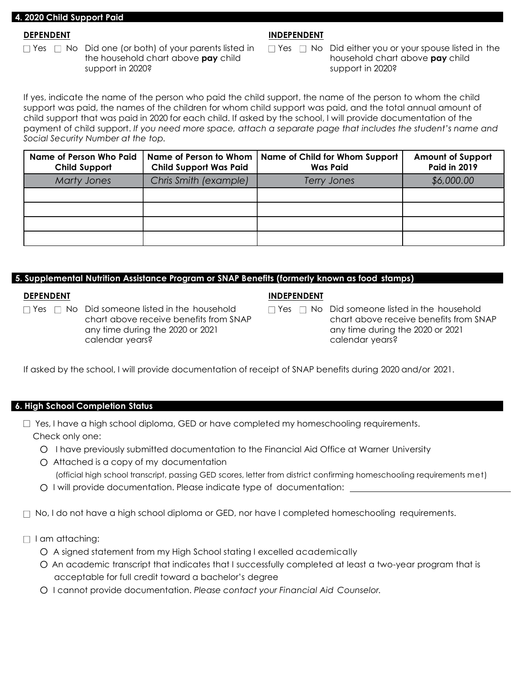#### 4. 2020 Child Support Paid

#### DEPENDENT

 $\Box$  Yes  $\Box$  No Did one (or both) of your parents listed in the household chart above **pay** child support in 2020?

## INDEPENDENT

 $\Box$  Yes  $\Box$  No Did either you or your spouse listed in the household chart above **pay** child support in 2020?

If yes, indicate the name of the person who paid the child support, the name of the person to whom the child support was paid, the names of the children for whom child support was paid, and the total annual amount of child support that was paid in 2020 for each child. If asked by the school, I will provide documentation of the payment of child support. If you need more space, attach a separate page that includes the student's name and Social Security Number at the top.

| <b>Name of Person Who Paid</b><br><b>Child Support</b> | <b>Child Support Was Paid</b> | Name of Person to Whom   Name of Child for Whom Support<br><b>Was Paid</b> | <b>Amount of Support</b><br><b>Paid in 2019</b> |
|--------------------------------------------------------|-------------------------------|----------------------------------------------------------------------------|-------------------------------------------------|
| <b>Marty Jones</b>                                     | Chris Smith (example)         | Terry Jones                                                                | \$6,000.00                                      |
|                                                        |                               |                                                                            |                                                 |
|                                                        |                               |                                                                            |                                                 |
|                                                        |                               |                                                                            |                                                 |
|                                                        |                               |                                                                            |                                                 |

## 5. Supplemental Nutrition Assistance Program or SNAP Benefits (formerly known as food stamps)

## **DEPENDENT**

 $\Box$  Yes  $\Box$  No Did someone listed in the household chart above receive benefits from SNAP any time during the 2020 or 2021 calendar years?

#### INDEPENDENT

 $\Box$  Yes  $\Box$  No Did someone listed in the household chart above receive benefits from SNAP any time during the 2020 or 2021 calendar years?

If asked by the school, I will provide documentation of receipt of SNAP benefits during 2020 and/or 2021.

## 6. High School Completion Status

- $\Box$  Yes, I have a high school diploma, GED or have completed my homeschooling requirements. Check only one:
	- O I have previously submitted documentation to the Financial Aid Office at Warner University
	- O Attached is a copy of my documentation

(official high school transcript, passing GED scores, letter from district confirming homeschooling requirements met)

O I will provide documentation. Please indicate type of documentation:

 $\Box$  No, I do not have a high school diploma or GED, nor have I completed homeschooling requirements.

- $\Box$  I am attaching:
	- O A signed statement from my High School stating I excelled academically
	- O An academic transcript that indicates that I successfully completed at least a two-year program that is acceptable for full credit toward a bachelor's degree
	- O I cannot provide documentation. Please contact your Financial Aid Counselor.